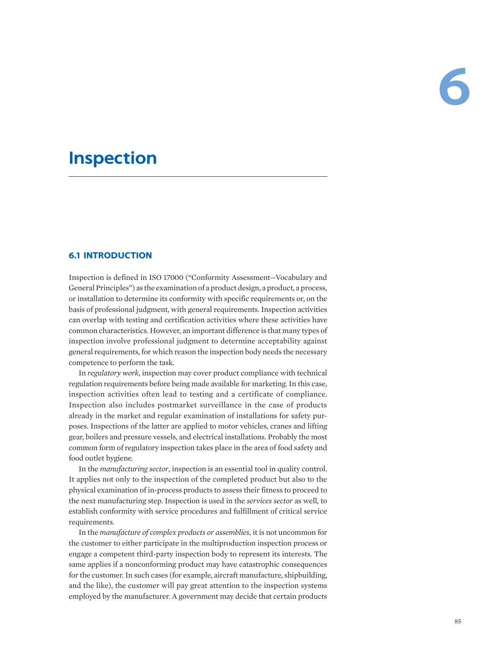# **Inspection**

# **6.1 INTRODUCTION**

Inspection is defined in ISO 17000 ("Conformity Assessment—Vocabulary and General Principles") as the examination of a product design, a product, a process, or installation to determine its conformity with specific requirements or, on the basis of professional judgment, with general requirements. Inspection activities can overlap with testing and certification activities where these activities have common characteristics. However, an important difference is that many types of inspection involve professional judgment to determine acceptability against general requirements, for which reason the inspection body needs the necessary competence to perform the task.

In *regulatory work*, inspection may cover product compliance with technical regulation requirements before being made available for marketing. In this case, inspection activities often lead to testing and a certificate of compliance. Inspection also includes postmarket surveillance in the case of products already in the market and regular examination of installations for safety purposes. Inspections of the latter are applied to motor vehicles, cranes and lifting gear, boilers and pressure vessels, and electrical installations. Probably the most common form of regulatory inspection takes place in the area of food safety and food outlet hygiene.

In the *manufacturing sector*, inspection is an essential tool in quality control. It applies not only to the inspection of the completed product but also to the physical examination of in-process products to assess their fitness to proceed to the next manufacturing step. Inspection is used in the *services sector* as well, to establish conformity with service procedures and fulfillment of critical service requirements.

In the *manufacture of complex products or assemblies*, it is not uncommon for the customer to either participate in the multiproduction inspection process or engage a competent third-party inspection body to represent its interests. The same applies if a nonconforming product may have catastrophic consequences for the customer. In such cases (for example, aircraft manufacture, shipbuilding, and the like), the customer will pay great attention to the inspection systems employed by the manufacturer. A government may decide that certain products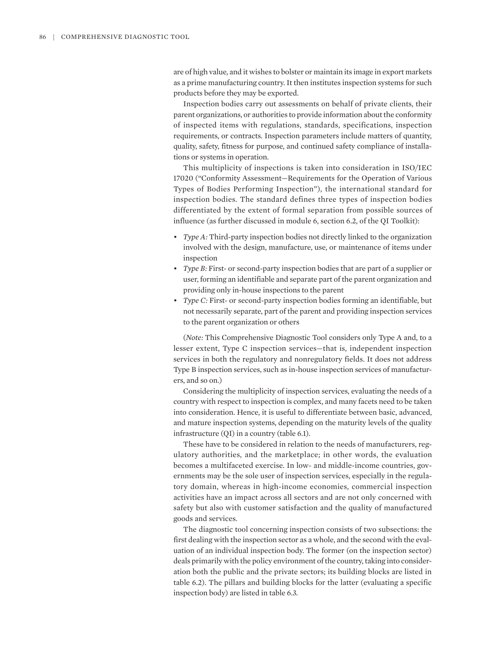are of high value, and it wishes to bolster or maintain its image in export markets as a prime manufacturing country. It then institutes inspection systems for such products before they may be exported.

Inspection bodies carry out assessments on behalf of private clients, their parent organizations, or authorities to provide information about the conformity of inspected items with regulations, standards, specifications, inspection requirements, or contracts. Inspection parameters include matters of quantity, quality, safety, fitness for purpose, and continued safety compliance of installations or systems in operation.

This multiplicity of inspections is taken into consideration in ISO/IEC 17020 ("Conformity Assessment—Requirements for the Operation of Various Types of Bodies Performing Inspection"), the international standard for inspection bodies. The standard defines three types of inspection bodies differentiated by the extent of formal separation from possible sources of influence (as further discussed in module 6, section 6.2, of the QI Toolkit):

- *Type A:* Third-party inspection bodies not directly linked to the organization involved with the design, manufacture, use, or maintenance of items under inspection
- *Type B:* First- or second-party inspection bodies that are part of a supplier or user, forming an identifiable and separate part of the parent organization and providing only in-house inspections to the parent
- *Type C:* First- or second-party inspection bodies forming an identifiable, but not necessarily separate, part of the parent and providing inspection services to the parent organization or others

(*Note:* This Comprehensive Diagnostic Tool considers only Type A and, to a lesser extent, Type C inspection services—that is, independent inspection services in both the regulatory and nonregulatory fields. It does not address Type B inspection services, such as in-house inspection services of manufacturers, and so on.)

Considering the multiplicity of inspection services, evaluating the needs of a country with respect to inspection is complex, and many facets need to be taken into consideration. Hence, it is useful to differentiate between basic, advanced, and mature inspection systems, depending on the maturity levels of the quality infrastructure (QI) in a country (table 6.1).

These have to be considered in relation to the needs of manufacturers, regulatory authorities, and the marketplace; in other words, the evaluation becomes a multifaceted exercise. In low- and middle-income countries, governments may be the sole user of inspection services, especially in the regulatory domain, whereas in high-income economies, commercial inspection activities have an impact across all sectors and are not only concerned with safety but also with customer satisfaction and the quality of manufactured goods and services.

The diagnostic tool concerning inspection consists of two subsections: the first dealing with the inspection sector as a whole, and the second with the evaluation of an individual inspection body. The former (on the inspection sector) deals primarily with the policy environment of the country, taking into consideration both the public and the private sectors; its building blocks are listed in table 6.2). The pillars and building blocks for the latter (evaluating a specific inspection body) are listed in table 6.3.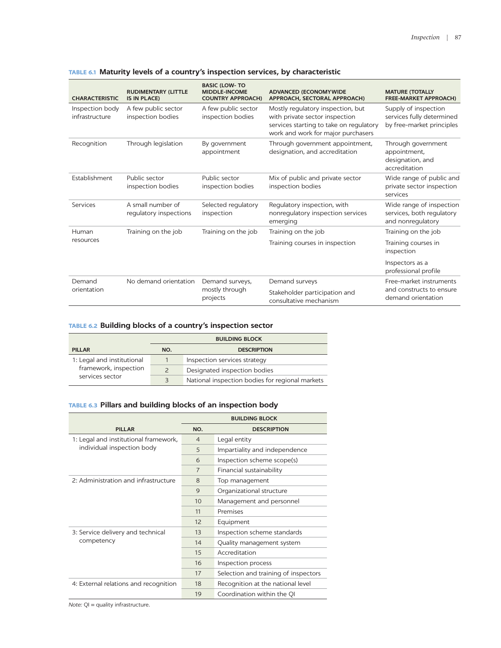| <b>CHARACTERISTIC</b>             | <b>RUDIMENTARY (LITTLE</b><br><b>IS IN PLACE)</b> | <b>BASIC (LOW-TO</b><br><b>MIDDLE-INCOME</b><br><b>COUNTRY APPROACH)</b> | <b>ADVANCED (ECONOMYWIDE</b><br>APPROACH, SECTORAL APPROACH)                                                                                         | <b>MATURE (TOTALLY</b><br><b>FREE-MARKET APPROACH)</b>                         |  |
|-----------------------------------|---------------------------------------------------|--------------------------------------------------------------------------|------------------------------------------------------------------------------------------------------------------------------------------------------|--------------------------------------------------------------------------------|--|
| Inspection body<br>infrastructure | A few public sector<br>inspection bodies          | A few public sector<br>inspection bodies                                 | Mostly regulatory inspection, but<br>with private sector inspection<br>services starting to take on regulatory<br>work and work for major purchasers | Supply of inspection<br>services fully determined<br>by free-market principles |  |
| Recognition                       | Through legislation                               | By government<br>appointment                                             | Through government appointment,<br>designation, and accreditation                                                                                    | Through government<br>appointment,<br>designation, and<br>accreditation        |  |
| Establishment                     | Public sector<br>inspection bodies                | Public sector<br>inspection bodies                                       | Mix of public and private sector<br>inspection bodies                                                                                                | Wide range of public and<br>private sector inspection<br>services              |  |
| Services                          | A small number of<br>regulatory inspections       | Selected regulatory<br>inspection                                        | Regulatory inspection, with<br>nonregulatory inspection services<br>emerging                                                                         | Wide range of inspection<br>services, both regulatory<br>and nonregulatory     |  |
| Human                             | Training on the job                               | Training on the job                                                      | Training on the job                                                                                                                                  | Training on the job                                                            |  |
| resources                         |                                                   |                                                                          | Training courses in inspection                                                                                                                       | Training courses in<br>inspection                                              |  |
|                                   |                                                   |                                                                          |                                                                                                                                                      | Inspectors as a<br>professional profile                                        |  |
| Demand<br>orientation             | No demand orientation                             | Demand surveys,<br>mostly through<br>projects                            | Demand surveys                                                                                                                                       | Free-market instruments                                                        |  |
|                                   |                                                   |                                                                          | Stakeholder participation and<br>consultative mechanism                                                                                              | and constructs to ensure<br>demand orientation                                 |  |

# **TABLE 6.1 Maturity levels of a country's inspection services, by characteristic**

# **TABLE 6.2 Building blocks of a country's inspection sector**

|                            | <b>BUILDING BLOCK</b> |                                                 |  |
|----------------------------|-----------------------|-------------------------------------------------|--|
| <b>PILLAR</b>              | NO.                   | <b>DESCRIPTION</b>                              |  |
| 1: Legal and institutional |                       | Inspection services strategy                    |  |
| framework, inspection      | $\mathcal{P}$         | Designated inspection bodies                    |  |
| services sector            | 3                     | National inspection bodies for regional markets |  |

# **TABLE 6.3 Pillars and building blocks of an inspection body**

|                                       | <b>BUILDING BLOCK</b> |                                      |  |
|---------------------------------------|-----------------------|--------------------------------------|--|
| <b>PILLAR</b>                         | NO.                   | <b>DESCRIPTION</b>                   |  |
| 1: Legal and institutional framework, | $\overline{4}$        | Legal entity                         |  |
| individual inspection body            | 5                     | Impartiality and independence        |  |
|                                       | 6                     | Inspection scheme scope(s)           |  |
|                                       | $\overline{7}$        | Financial sustainability             |  |
| 2: Administration and infrastructure  | $\mathsf{R}$          | Top management                       |  |
|                                       | 9                     | Organizational structure             |  |
|                                       | 10                    | Management and personnel             |  |
|                                       | 11                    | Premises                             |  |
|                                       | 12                    | Equipment                            |  |
| 3: Service delivery and technical     | 13                    | Inspection scheme standards          |  |
| competency                            | 14                    | Quality management system            |  |
|                                       | 15                    | Accreditation                        |  |
|                                       | 16                    | Inspection process                   |  |
|                                       | 17                    | Selection and training of inspectors |  |
| 4: External relations and recognition | 18                    | Recognition at the national level    |  |
|                                       | 19                    | Coordination within the OI           |  |

*Note:* QI = quality infrastructure.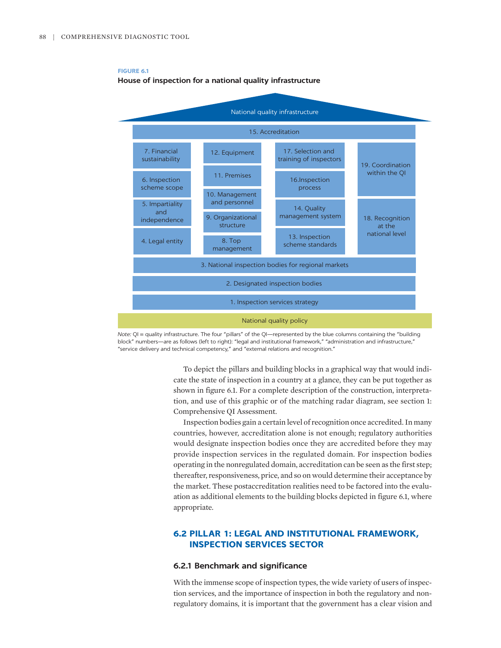

# **FIGURE 6.1 House of inspection for a national quality infrastructure**

*Note:* QI = quality infrastructure. The four "pillars" of the QI—represented by the blue columns containing the "building block" numbers—are as follows (left to right): "legal and institutional framework," "administration and infrastructure," "service delivery and technical competency," and "external relations and recognition."

> To depict the pillars and building blocks in a graphical way that would indicate the state of inspection in a country at a glance, they can be put together as shown in figure 6.1. For a complete description of the construction, interpretation, and use of this graphic or of the matching radar diagram, see section 1: Comprehensive QI Assessment.

> Inspection bodies gain a certain level of recognition once accredited. In many countries, however, accreditation alone is not enough; regulatory authorities would designate inspection bodies once they are accredited before they may provide inspection services in the regulated domain. For inspection bodies operating in the nonregulated domain, accreditation can be seen as the first step; thereafter, responsiveness, price, and so on would determine their acceptance by the market. These postaccreditation realities need to be factored into the evaluation as additional elements to the building blocks depicted in figure 6.1, where appropriate.

# **6.2 PILLAR 1: LEGAL AND INSTITUTIONAL FRAMEWORK, INSPECTION SERVICES SECTOR**

# **6.2.1 Benchmark and significance**

With the immense scope of inspection types, the wide variety of users of inspection services, and the importance of inspection in both the regulatory and nonregulatory domains, it is important that the government has a clear vision and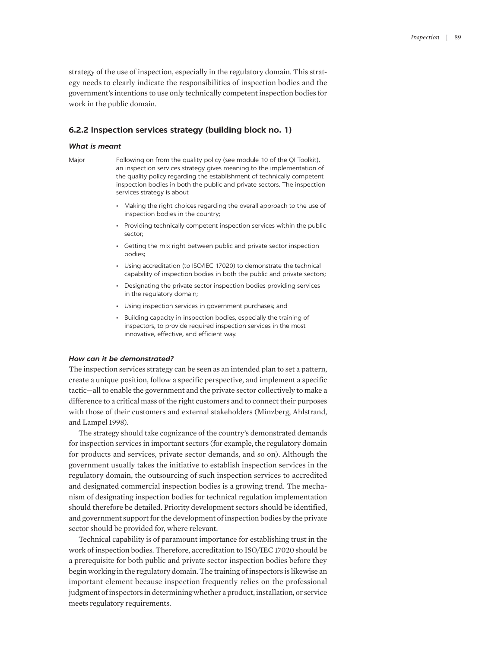strategy of the use of inspection, especially in the regulatory domain. This strategy needs to clearly indicate the responsibilities of inspection bodies and the government's intentions to use only technically competent inspection bodies for work in the public domain.

## **6.2.2 Inspection services strategy (building block no. 1)**

#### *What is meant*

Major Following on from the quality policy (see module 10 of the QI Toolkit), an inspection services strategy gives meaning to the implementation of the quality policy regarding the establishment of technically competent inspection bodies in both the public and private sectors. The inspection services strategy is about

- Making the right choices regarding the overall approach to the use of inspection bodies in the country;
- Providing technically competent inspection services within the public sector;
- Getting the mix right between public and private sector inspection bodies;
- Using accreditation (to ISO/IEC 17020) to demonstrate the technical capability of inspection bodies in both the public and private sectors;
- Designating the private sector inspection bodies providing services in the regulatory domain;
- Using inspection services in government purchases; and
- Building capacity in inspection bodies, especially the training of inspectors, to provide required inspection services in the most innovative, effective, and efficient way.

#### *How can it be demonstrated?*

The inspection services strategy can be seen as an intended plan to set a pattern, create a unique position, follow a specific perspective, and implement a specific tactic—all to enable the government and the private sector collectively to make a difference to a critical mass of the right customers and to connect their purposes with those of their customers and external stakeholders (Minzberg, Ahlstrand, and Lampel 1998).

The strategy should take cognizance of the country's demonstrated demands for inspection services in important sectors (for example, the regulatory domain for products and services, private sector demands, and so on). Although the government usually takes the initiative to establish inspection services in the regulatory domain, the outsourcing of such inspection services to accredited and designated commercial inspection bodies is a growing trend. The mechanism of designating inspection bodies for technical regulation implementation should therefore be detailed. Priority development sectors should be identified, and government support for the development of inspection bodies by the private sector should be provided for, where relevant.

Technical capability is of paramount importance for establishing trust in the work of inspection bodies. Therefore, accreditation to ISO/IEC 17020 should be a prerequisite for both public and private sector inspection bodies before they begin working in the regulatory domain. The training of inspectors is likewise an important element because inspection frequently relies on the professional judgment of inspectors in determining whether a product, installation, or service meets regulatory requirements.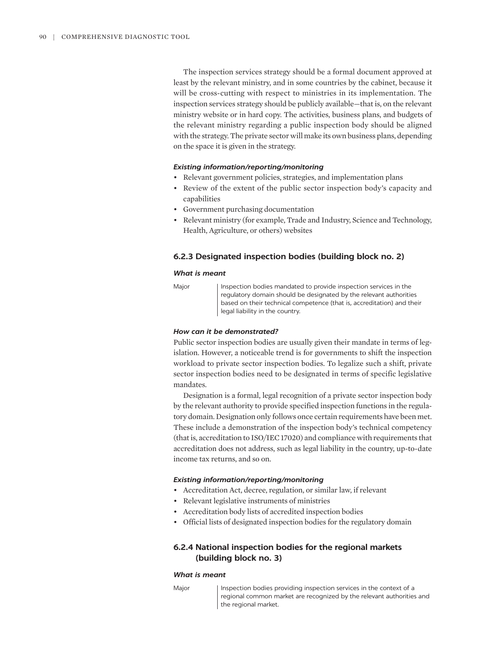The inspection services strategy should be a formal document approved at least by the relevant ministry, and in some countries by the cabinet, because it will be cross-cutting with respect to ministries in its implementation. The inspection services strategy should be publicly available—that is, on the relevant ministry website or in hard copy. The activities, business plans, and budgets of the relevant ministry regarding a public inspection body should be aligned with the strategy. The private sector will make its own business plans, depending on the space it is given in the strategy.

## *Existing information/reporting/monitoring*

- Relevant government policies, strategies, and implementation plans
- Review of the extent of the public sector inspection body's capacity and capabilities
- Government purchasing documentation
- Relevant ministry (for example, Trade and Industry, Science and Technology, Health, Agriculture, or others) websites

## **6.2.3 Designated inspection bodies (building block no. 2)**

#### *What is meant*

Major | Inspection bodies mandated to provide inspection services in the regulatory domain should be designated by the relevant authorities based on their technical competence (that is, accreditation) and their legal liability in the country.

#### *How can it be demonstrated?*

Public sector inspection bodies are usually given their mandate in terms of legislation. However, a noticeable trend is for governments to shift the inspection workload to private sector inspection bodies. To legalize such a shift, private sector inspection bodies need to be designated in terms of specific legislative mandates.

Designation is a formal, legal recognition of a private sector inspection body by the relevant authority to provide specified inspection functions in the regulatory domain. Designation only follows once certain requirements have been met. These include a demonstration of the inspection body's technical competency (that is, accreditation to ISO/IEC 17020) and compliance with requirements that accreditation does not address, such as legal liability in the country, up-to-date income tax returns, and so on.

#### *Existing information/reporting/monitoring*

- Accreditation Act, decree, regulation, or similar law, if relevant
- Relevant legislative instruments of ministries
- Accreditation body lists of accredited inspection bodies
- Official lists of designated inspection bodies for the regulatory domain

# **6.2.4 National inspection bodies for the regional markets (building block no. 3)**

#### *What is meant*

Major Inspection bodies providing inspection services in the context of a regional common market are recognized by the relevant authorities and the regional market.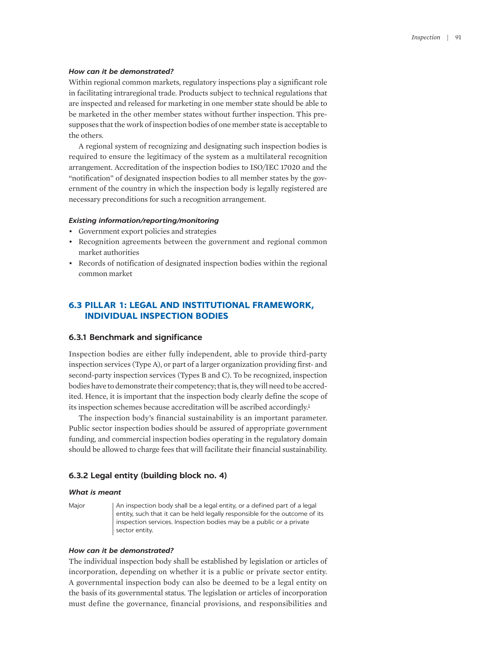#### *How can it be demonstrated?*

Within regional common markets, regulatory inspections play a significant role in facilitating intraregional trade. Products subject to technical regulations that are inspected and released for marketing in one member state should be able to be marketed in the other member states without further inspection. This presupposes that the work of inspection bodies of one member state is acceptable to the others.

A regional system of recognizing and designating such inspection bodies is required to ensure the legitimacy of the system as a multilateral recognition arrangement. Accreditation of the inspection bodies to ISO/IEC 17020 and the "notification" of designated inspection bodies to all member states by the government of the country in which the inspection body is legally registered are necessary preconditions for such a recognition arrangement.

#### *Existing information/reporting/monitoring*

- Government export policies and strategies
- Recognition agreements between the government and regional common market authorities
- Records of notification of designated inspection bodies within the regional common market

# **6.3 PILLAR 1: LEGAL AND INSTITUTIONAL FRAMEWORK, INDIVIDUAL INSPECTION BODIES**

# **6.3.1 Benchmark and significance**

Inspection bodies are either fully independent, able to provide third-party inspection services (Type A), or part of a larger organization providing first- and second-party inspection services (Types B and C). To be recognized, inspection bodies have to demonstrate their competency; that is, they will need to be accredited. Hence, it is important that the inspection body clearly define the scope of its inspection schemes because accreditation will be ascribed accordingly.<sup>[1](#page-18-0)</sup>

<span id="page-6-0"></span>The inspection body's financial sustainability is an important parameter. Public sector inspection bodies should be assured of appropriate government funding, and commercial inspection bodies operating in the regulatory domain should be allowed to charge fees that will facilitate their financial sustainability.

## **6.3.2 Legal entity (building block no. 4)**

#### *What is meant*

Major | An inspection body shall be a legal entity, or a defined part of a legal entity, such that it can be held legally responsible for the outcome of its inspection services. Inspection bodies may be a public or a private sector entity.

#### *How can it be demonstrated?*

The individual inspection body shall be established by legislation or articles of incorporation, depending on whether it is a public or private sector entity. A governmental inspection body can also be deemed to be a legal entity on the basis of its governmental status. The legislation or articles of incorporation must define the governance, financial provisions, and responsibilities and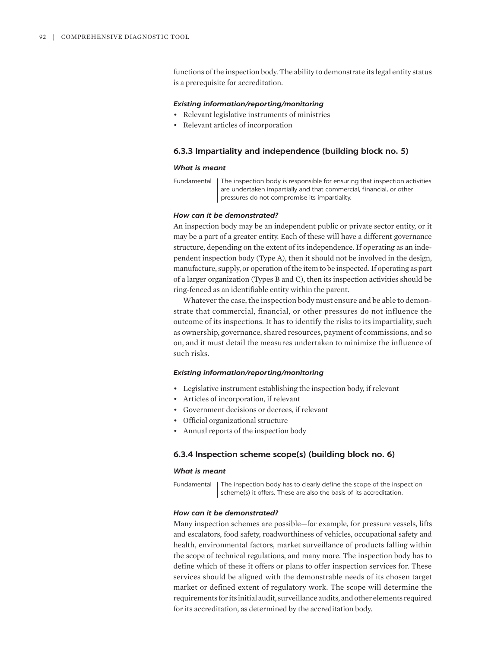functions of the inspection body. The ability to demonstrate its legal entity status is a prerequisite for accreditation.

#### *Existing information/reporting/monitoring*

- Relevant legislative instruments of ministries
- Relevant articles of incorporation

## **6.3.3 Impartiality and independence (building block no. 5)**

#### *What is meant*

#### *How can it be demonstrated?*

An inspection body may be an independent public or private sector entity, or it may be a part of a greater entity. Each of these will have a different governance structure, depending on the extent of its independence. If operating as an independent inspection body (Type A), then it should not be involved in the design, manufacture, supply, or operation of the item to be inspected. If operating as part of a larger organization (Types B and C), then its inspection activities should be ring-fenced as an identifiable entity within the parent.

Whatever the case, the inspection body must ensure and be able to demonstrate that commercial, financial, or other pressures do not influence the outcome of its inspections. It has to identify the risks to its impartiality, such as ownership, governance, shared resources, payment of commissions, and so on, and it must detail the measures undertaken to minimize the influence of such risks.

## *Existing information/reporting/monitoring*

- Legislative instrument establishing the inspection body, if relevant
- Articles of incorporation, if relevant
- Government decisions or decrees, if relevant
- Official organizational structure
- Annual reports of the inspection body

# **6.3.4 Inspection scheme scope(s) (building block no. 6)**

## *What is meant*

Fundamental | The inspection body has to clearly define the scope of the inspection scheme(s) it offers. These are also the basis of its accreditation.

#### *How can it be demonstrated?*

Many inspection schemes are possible—for example, for pressure vessels, lifts and escalators, food safety, roadworthiness of vehicles, occupational safety and health, environmental factors, market surveillance of products falling within the scope of technical regulations, and many more. The inspection body has to define which of these it offers or plans to offer inspection services for. These services should be aligned with the demonstrable needs of its chosen target market or defined extent of regulatory work. The scope will determine the requirements for its initial audit, surveillance audits, and other elements required for its accreditation, as determined by the accreditation body.

Fundamental | The inspection body is responsible for ensuring that inspection activities are undertaken impartially and that commercial, financial, or other pressures do not compromise its impartiality.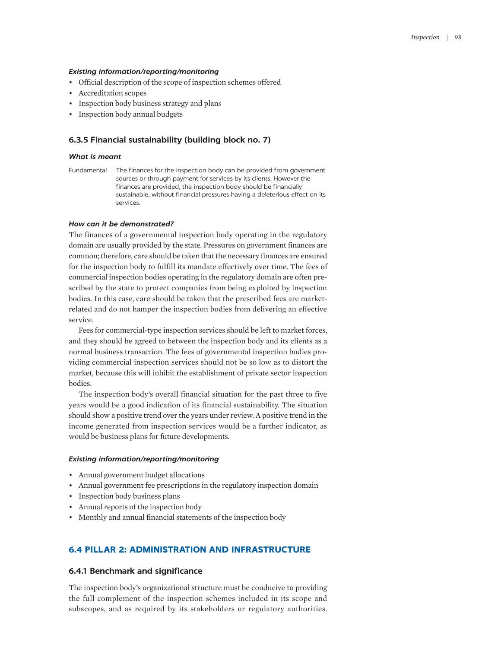#### *Existing information/reporting/monitoring*

- Official description of the scope of inspection schemes offered
- Accreditation scopes
- Inspection body business strategy and plans
- Inspection body annual budgets

## **6.3.5 Financial sustainability (building block no. 7)**

#### *What is meant*

Fundamental | The finances for the inspection body can be provided from government sources or through payment for services by its clients. However the finances are provided, the inspection body should be financially sustainable, without financial pressures having a deleterious effect on its services.

## *How can it be demonstrated?*

The finances of a governmental inspection body operating in the regulatory domain are usually provided by the state. Pressures on government finances are common; therefore, care should be taken that the necessary finances are ensured for the inspection body to fulfill its mandate effectively over time. The fees of commercial inspection bodies operating in the regulatory domain are often prescribed by the state to protect companies from being exploited by inspection bodies. In this case, care should be taken that the prescribed fees are marketrelated and do not hamper the inspection bodies from delivering an effective service.

Fees for commercial-type inspection services should be left to market forces, and they should be agreed to between the inspection body and its clients as a normal business transaction. The fees of governmental inspection bodies providing commercial inspection services should not be so low as to distort the market, because this will inhibit the establishment of private sector inspection bodies.

The inspection body's overall financial situation for the past three to five years would be a good indication of its financial sustainability. The situation should show a positive trend over the years under review. A positive trend in the income generated from inspection services would be a further indicator, as would be business plans for future developments.

#### *Existing information/reporting/monitoring*

- Annual government budget allocations
- Annual government fee prescriptions in the regulatory inspection domain
- Inspection body business plans
- Annual reports of the inspection body
- Monthly and annual financial statements of the inspection body

# **6.4 PILLAR 2: ADMINISTRATION AND INFRASTRUCTURE**

# **6.4.1 Benchmark and significance**

The inspection body's organizational structure must be conducive to providing the full complement of the inspection schemes included in its scope and subscopes, and as required by its stakeholders or regulatory authorities.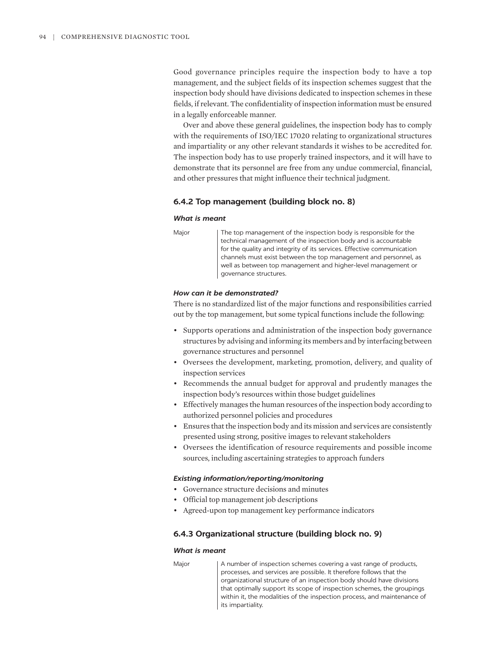Good governance principles require the inspection body to have a top management, and the subject fields of its inspection schemes suggest that the inspection body should have divisions dedicated to inspection schemes in these fields, if relevant. The confidentiality of inspection information must be ensured in a legally enforceable manner.

Over and above these general guidelines, the inspection body has to comply with the requirements of ISO/IEC 17020 relating to organizational structures and impartiality or any other relevant standards it wishes to be accredited for. The inspection body has to use properly trained inspectors, and it will have to demonstrate that its personnel are free from any undue commercial, financial, and other pressures that might influence their technical judgment.

# **6.4.2 Top management (building block no. 8)**

#### *What is meant*

Major | The top management of the inspection body is responsible for the technical management of the inspection body and is accountable for the quality and integrity of its services. Effective communication channels must exist between the top management and personnel, as well as between top management and higher-level management or governance structures.

#### *How can it be demonstrated?*

There is no standardized list of the major functions and responsibilities carried out by the top management, but some typical functions include the following:

- Supports operations and administration of the inspection body governance structures by advising and informing its members and by interfacing between governance structures and personnel
- Oversees the development, marketing, promotion, delivery, and quality of inspection services
- Recommends the annual budget for approval and prudently manages the inspection body's resources within those budget guidelines
- Effectively manages the human resources of the inspection body according to authorized personnel policies and procedures
- Ensures that the inspection body and its mission and services are consistently presented using strong, positive images to relevant stakeholders
- Oversees the identification of resource requirements and possible income sources, including ascertaining strategies to approach funders

#### *Existing information/reporting/monitoring*

- Governance structure decisions and minutes
- Official top management job descriptions
- Agreed-upon top management key performance indicators

## **6.4.3 Organizational structure (building block no. 9)**

#### *What is meant*

Major | A number of inspection schemes covering a vast range of products, processes, and services are possible. It therefore follows that the organizational structure of an inspection body should have divisions that optimally support its scope of inspection schemes, the groupings within it, the modalities of the inspection process, and maintenance of its impartiality.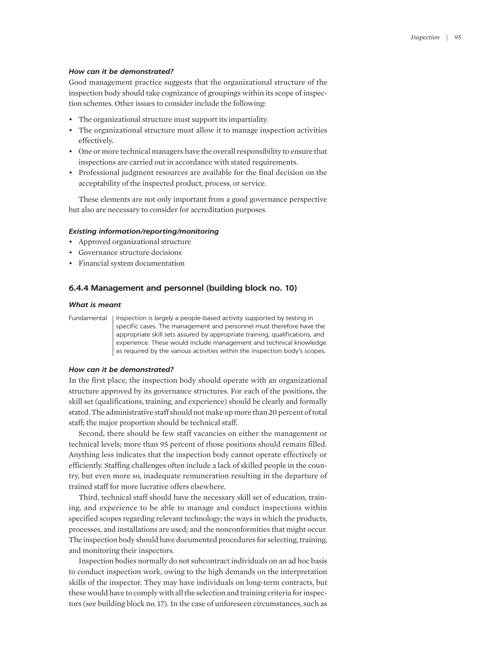#### *How can it be demonstrated?*

Good management practice suggests that the organizational structure of the inspection body should take cognizance of groupings within its scope of inspection schemes. Other issues to consider include the following:

- The organizational structure must support its impartiality.
- The organizational structure must allow it to manage inspection activities effectively.
- One or more technical managers have the overall responsibility to ensure that inspections are carried out in accordance with stated requirements.
- Professional judgment resources are available for the final decision on the acceptability of the inspected product, process, or service.

These elements are not only important from a good governance perspective but also are necessary to consider for accreditation purposes.

#### *Existing information/reporting/monitoring*

- Approved organizational structure
- Governance structure decisions
- Financial system documentation

# **6.4.4 Management and personnel (building block no. 10)**

#### *What is meant*

Fundamental | Inspection is largely a people-based activity supported by testing in specific cases. The management and personnel must therefore have the appropriate skill sets assured by appropriate training, qualifications, and experience. These would include management and technical knowledge as required by the various activities within the inspection body's scopes.

#### *How can it be demonstrated?*

In the first place, the inspection body should operate with an organizational structure approved by its governance structures. For each of the positions, the skill set (qualifications, training, and experience) should be clearly and formally stated. The administrative staff should not make up more than 20 percent of total staff; the major proportion should be technical staff.

Second, there should be few staff vacancies on either the management or technical levels; more than 95 percent of those positions should remain filled. Anything less indicates that the inspection body cannot operate effectively or efficiently. Staffing challenges often include a lack of skilled people in the country, but even more so, inadequate remuneration resulting in the departure of trained staff for more lucrative offers elsewhere.

Third, technical staff should have the necessary skill set of education, training, and experience to be able to manage and conduct inspections within specified scopes regarding relevant technology; the ways in which the products, processes, and installations are used; and the nonconformities that might occur. The inspection body should have documented procedures for selecting, training, and monitoring their inspectors.

Inspection bodies normally do not subcontract individuals on an ad hoc basis to conduct inspection work, owing to the high demands on the interpretation skills of the inspector. They may have individuals on long-term contracts, but these would have to comply with all the selection and training criteria for inspectors (see building block no. 17). In the case of unforeseen circumstances, such as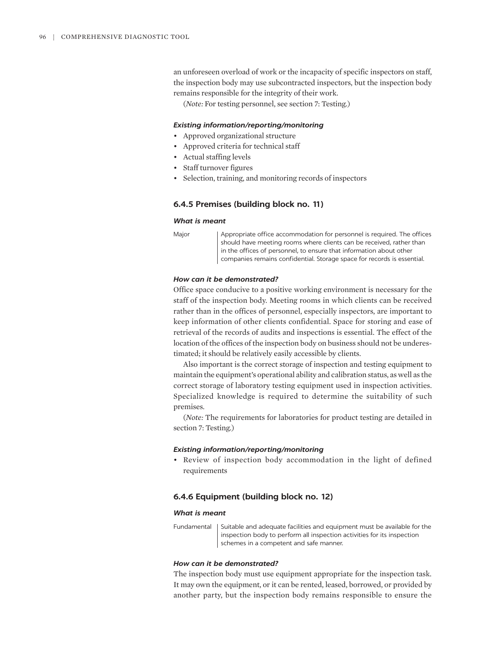an unforeseen overload of work or the incapacity of specific inspectors on staff, the inspection body may use subcontracted inspectors, but the inspection body remains responsible for the integrity of their work.

(*Note:* For testing personnel, see section 7: Testing.)

#### *Existing information/reporting/monitoring*

- Approved organizational structure
- Approved criteria for technical staff
- Actual staffing levels
- Staff turnover figures
- Selection, training, and monitoring records of inspectors

#### **6.4.5 Premises (building block no. 11)**

## *What is meant*

Major **Appropriate office accommodation for personnel is required. The offices** should have meeting rooms where clients can be received, rather than in the offices of personnel, to ensure that information about other companies remains confidential. Storage space for records is essential.

## *How can it be demonstrated?*

Office space conducive to a positive working environment is necessary for the staff of the inspection body. Meeting rooms in which clients can be received rather than in the offices of personnel, especially inspectors, are important to keep information of other clients confidential. Space for storing and ease of retrieval of the records of audits and inspections is essential. The effect of the location of the offices of the inspection body on business should not be underestimated; it should be relatively easily accessible by clients.

Also important is the correct storage of inspection and testing equipment to maintain the equipment's operational ability and calibration status, as well as the correct storage of laboratory testing equipment used in inspection activities. Specialized knowledge is required to determine the suitability of such premises.

(*Note:* The requirements for laboratories for product testing are detailed in section 7: Testing.)

#### *Existing information/reporting/monitoring*

• Review of inspection body accommodation in the light of defined requirements

## **6.4.6 Equipment (building block no. 12)**

#### *What is meant*

Fundamental | Suitable and adequate facilities and equipment must be available for the inspection body to perform all inspection activities for its inspection schemes in a competent and safe manner.

#### *How can it be demonstrated?*

The inspection body must use equipment appropriate for the inspection task. It may own the equipment, or it can be rented, leased, borrowed, or provided by another party, but the inspection body remains responsible to ensure the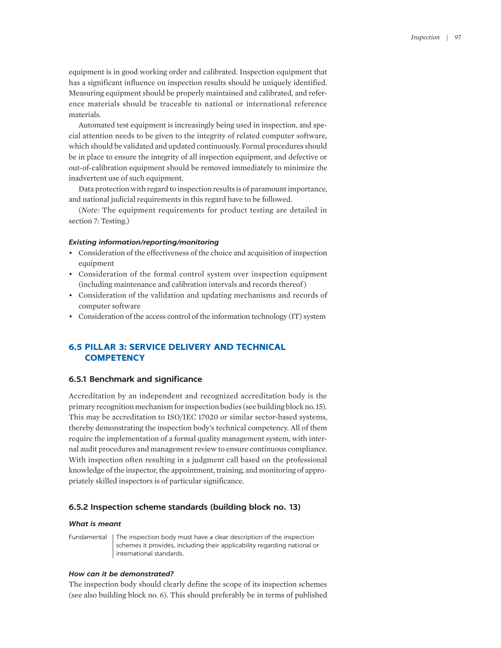equipment is in good working order and calibrated. Inspection equipment that has a significant influence on inspection results should be uniquely identified. Measuring equipment should be properly maintained and calibrated, and reference materials should be traceable to national or international reference materials.

Automated test equipment is increasingly being used in inspection, and special attention needs to be given to the integrity of related computer software, which should be validated and updated continuously. Formal procedures should be in place to ensure the integrity of all inspection equipment, and defective or out-of-calibration equipment should be removed immediately to minimize the inadvertent use of such equipment.

Data protection with regard to inspection results is of paramount importance, and national judicial requirements in this regard have to be followed.

(*Note:* The equipment requirements for product testing are detailed in section 7: Testing.)

## *Existing information/reporting/monitoring*

- Consideration of the effectiveness of the choice and acquisition of inspection equipment
- Consideration of the formal control system over inspection equipment (including maintenance and calibration intervals and records thereof )
- Consideration of the validation and updating mechanisms and records of computer software
- Consideration of the access control of the information technology (IT) system

# **6.5 PILLAR 3: SERVICE DELIVERY AND TECHNICAL COMPETENCY**

## **6.5.1 Benchmark and significance**

Accreditation by an independent and recognized accreditation body is the primary recognition mechanism for inspection bodies (see building block no. 15). This may be accreditation to ISO/IEC 17020 or similar sector-based systems, thereby demonstrating the inspection body's technical competency. All of them require the implementation of a formal quality management system, with internal audit procedures and management review to ensure continuous compliance. With inspection often resulting in a judgment call based on the professional knowledge of the inspector, the appointment, training, and monitoring of appropriately skilled inspectors is of particular significance.

## **6.5.2 Inspection scheme standards (building block no. 13)**

#### *What is meant*

Fundamental | The inspection body must have a clear description of the inspection schemes it provides, including their applicability regarding national or international standards.

## *How can it be demonstrated?*

The inspection body should clearly define the scope of its inspection schemes (see also building block no. 6). This should preferably be in terms of published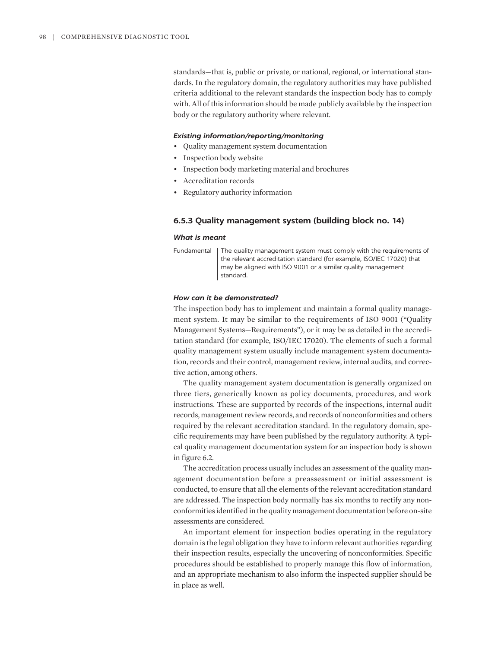standards—that is, public or private, or national, regional, or international standards. In the regulatory domain, the regulatory authorities may have published criteria additional to the relevant standards the inspection body has to comply with. All of this information should be made publicly available by the inspection body or the regulatory authority where relevant.

# *Existing information/reporting/monitoring*

- Quality management system documentation
- Inspection body website
- Inspection body marketing material and brochures
- Accreditation records
- Regulatory authority information

# **6.5.3 Quality management system (building block no. 14)**

#### *What is meant*

Fundamental The quality management system must comply with the requirements of the relevant accreditation standard (for example, ISO/IEC 17020) that may be aligned with ISO 9001 or a similar quality management standard.

## *How can it be demonstrated?*

The inspection body has to implement and maintain a formal quality management system. It may be similar to the requirements of ISO 9001 ("Quality Management Systems—Requirements"), or it may be as detailed in the accreditation standard (for example, ISO/IEC 17020). The elements of such a formal quality management system usually include management system documentation, records and their control, management review, internal audits, and corrective action, among others.

The quality management system documentation is generally organized on three tiers, generically known as policy documents, procedures, and work instructions. These are supported by records of the inspections, internal audit records, management review records, and records of nonconformities and others required by the relevant accreditation standard. In the regulatory domain, specific requirements may have been published by the regulatory authority. A typical quality management documentation system for an inspection body is shown in figure 6.2.

The accreditation process usually includes an assessment of the quality management documentation before a preassessment or initial assessment is conducted, to ensure that all the elements of the relevant accreditation standard are addressed. The inspection body normally has six months to rectify any nonconformities identified in the quality management documentation before on-site assessments are considered.

An important element for inspection bodies operating in the regulatory domain is the legal obligation they have to inform relevant authorities regarding their inspection results, especially the uncovering of nonconformities. Specific procedures should be established to properly manage this flow of information, and an appropriate mechanism to also inform the inspected supplier should be in place as well.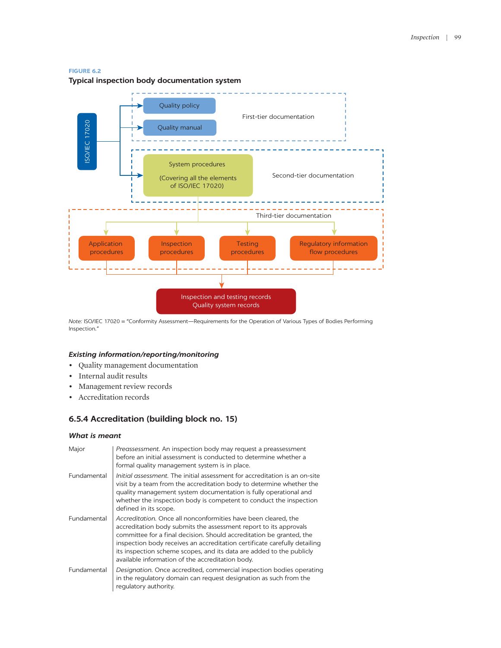#### **FIGURE 6.2**



*Note:* ISO/IEC 17020 = "Conformity Assessment—Requirements for the Operation of Various Types of Bodies Performing Inspection."

# *Existing information/reporting/monitoring*

- Quality management documentation
- Internal audit results
- Management review records
- Accreditation records

# **6.5.4 Accreditation (building block no. 15)**

#### *What is meant*

| Major       | Preassessment. An inspection body may request a preassessment<br>before an initial assessment is conducted to determine whether a<br>formal quality management system is in place.                                                                                                                                                                                                                                   |
|-------------|----------------------------------------------------------------------------------------------------------------------------------------------------------------------------------------------------------------------------------------------------------------------------------------------------------------------------------------------------------------------------------------------------------------------|
| Fundamental | <i>Initial assessment</i> . The initial assessment for accreditation is an on-site<br>visit by a team from the accreditation body to determine whether the<br>quality management system documentation is fully operational and<br>whether the inspection body is competent to conduct the inspection<br>defined in its scope.                                                                                        |
| Fundamental | Accreditation. Once all nonconformities have been cleared, the<br>accreditation body submits the assessment report to its approvals<br>committee for a final decision. Should accreditation be granted, the<br>inspection body receives an accreditation certificate carefully detailing<br>its inspection scheme scopes, and its data are added to the publicly<br>available information of the accreditation body. |
| Fundamental | Designation. Once accredited, commercial inspection bodies operating<br>in the regulatory domain can request designation as such from the<br>regulatory authority.                                                                                                                                                                                                                                                   |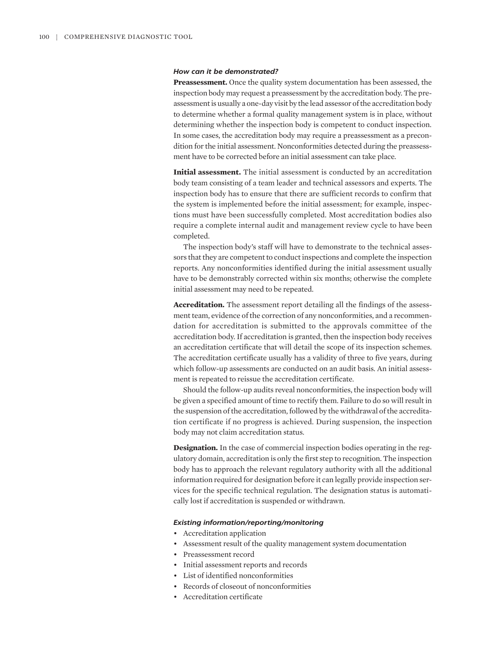#### *How can it be demonstrated?*

**Preassessment.** Once the quality system documentation has been assessed, the inspection body may request a preassessment by the accreditation body. The preassessment is usually a one-day visit by the lead assessor of the accreditation body to determine whether a formal quality management system is in place, without determining whether the inspection body is competent to conduct inspection. In some cases, the accreditation body may require a preassessment as a precondition for the initial assessment. Nonconformities detected during the preassessment have to be corrected before an initial assessment can take place.

**Initial assessment.** The initial assessment is conducted by an accreditation body team consisting of a team leader and technical assessors and experts. The inspection body has to ensure that there are sufficient records to confirm that the system is implemented before the initial assessment; for example, inspections must have been successfully completed. Most accreditation bodies also require a complete internal audit and management review cycle to have been completed.

The inspection body's staff will have to demonstrate to the technical assessors that they are competent to conduct inspections and complete the inspection reports. Any nonconformities identified during the initial assessment usually have to be demonstrably corrected within six months; otherwise the complete initial assessment may need to be repeated.

**Accreditation.** The assessment report detailing all the findings of the assessment team, evidence of the correction of any nonconformities, and a recommendation for accreditation is submitted to the approvals committee of the accreditation body. If accreditation is granted, then the inspection body receives an accreditation certificate that will detail the scope of its inspection schemes. The accreditation certificate usually has a validity of three to five years, during which follow-up assessments are conducted on an audit basis. An initial assessment is repeated to reissue the accreditation certificate.

Should the follow-up audits reveal nonconformities, the inspection body will be given a specified amount of time to rectify them. Failure to do so will result in the suspension of the accreditation, followed by the withdrawal of the accreditation certificate if no progress is achieved. During suspension, the inspection body may not claim accreditation status.

**Designation.** In the case of commercial inspection bodies operating in the regulatory domain, accreditation is only the first step to recognition. The inspection body has to approach the relevant regulatory authority with all the additional information required for designation before it can legally provide inspection services for the specific technical regulation. The designation status is automatically lost if accreditation is suspended or withdrawn.

#### *Existing information/reporting/monitoring*

- Accreditation application
- Assessment result of the quality management system documentation
- Preassessment record
- Initial assessment reports and records
- List of identified nonconformities
- Records of closeout of nonconformities
- Accreditation certificate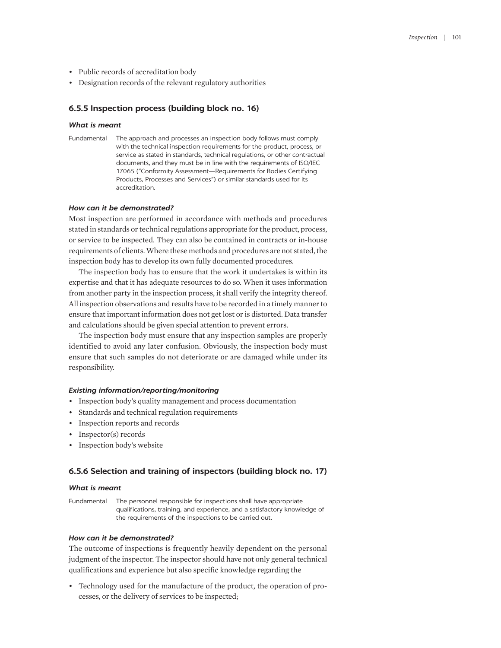- Public records of accreditation body
- Designation records of the relevant regulatory authorities

# **6.5.5 Inspection process (building block no. 16)**

#### *What is meant*

Fundamental | The approach and processes an inspection body follows must comply with the technical inspection requirements for the product, process, or service as stated in standards, technical regulations, or other contractual documents, and they must be in line with the requirements of ISO/IEC 17065 ("Conformity Assessment—Requirements for Bodies Certifying Products, Processes and Services") or similar standards used for its accreditation.

## *How can it be demonstrated?*

Most inspection are performed in accordance with methods and procedures stated in standards or technical regulations appropriate for the product, process, or service to be inspected. They can also be contained in contracts or in-house requirements of clients. Where these methods and procedures are not stated, the inspection body has to develop its own fully documented procedures.

The inspection body has to ensure that the work it undertakes is within its expertise and that it has adequate resources to do so. When it uses information from another party in the inspection process, it shall verify the integrity thereof. All inspection observations and results have to be recorded in a timely manner to ensure that important information does not get lost or is distorted. Data transfer and calculations should be given special attention to prevent errors.

The inspection body must ensure that any inspection samples are properly identified to avoid any later confusion. Obviously, the inspection body must ensure that such samples do not deteriorate or are damaged while under its responsibility.

## *Existing information/reporting/monitoring*

- Inspection body's quality management and process documentation
- Standards and technical regulation requirements
- Inspection reports and records
- Inspector(s) records
- Inspection body's website

# **6.5.6 Selection and training of inspectors (building block no. 17)**

#### *What is meant*

Fundamental | The personnel responsible for inspections shall have appropriate qualifications, training, and experience, and a satisfactory knowledge of the requirements of the inspections to be carried out.

## *How can it be demonstrated?*

The outcome of inspections is frequently heavily dependent on the personal judgment of the inspector. The inspector should have not only general technical qualifications and experience but also specific knowledge regarding the

• Technology used for the manufacture of the product, the operation of processes, or the delivery of services to be inspected;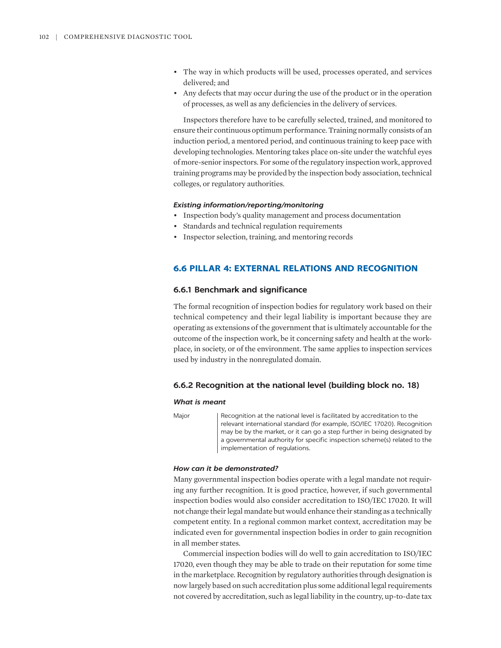- The way in which products will be used, processes operated, and services delivered; and
- Any defects that may occur during the use of the product or in the operation of processes, as well as any deficiencies in the delivery of services.

Inspectors therefore have to be carefully selected, trained, and monitored to ensure their continuous optimum performance. Training normally consists of an induction period, a mentored period, and continuous training to keep pace with developing technologies. Mentoring takes place on-site under the watchful eyes of more-senior inspectors. For some of the regulatory inspection work, approved training programs may be provided by the inspection body association, technical colleges, or regulatory authorities.

#### *Existing information/reporting/monitoring*

- Inspection body's quality management and process documentation
- Standards and technical regulation requirements
- Inspector selection, training, and mentoring records

# **6.6 PILLAR 4: EXTERNAL RELATIONS AND RECOGNITION**

## **6.6.1 Benchmark and significance**

The formal recognition of inspection bodies for regulatory work based on their technical competency and their legal liability is important because they are operating as extensions of the government that is ultimately accountable for the outcome of the inspection work, be it concerning safety and health at the workplace, in society, or of the environment. The same applies to inspection services used by industry in the nonregulated domain.

## **6.6.2 Recognition at the national level (building block no. 18)**

#### *What is meant*

Major Recognition at the national level is facilitated by accreditation to the relevant international standard (for example, ISO/IEC 17020). Recognition may be by the market, or it can go a step further in being designated by a governmental authority for specific inspection scheme(s) related to the implementation of regulations.

## *How can it be demonstrated?*

Many governmental inspection bodies operate with a legal mandate not requiring any further recognition. It is good practice, however, if such governmental inspection bodies would also consider accreditation to ISO/IEC 17020. It will not change their legal mandate but would enhance their standing as a technically competent entity. In a regional common market context, accreditation may be indicated even for governmental inspection bodies in order to gain recognition in all member states.

Commercial inspection bodies will do well to gain accreditation to ISO/IEC 17020, even though they may be able to trade on their reputation for some time in the marketplace. Recognition by regulatory authorities through designation is now largely based on such accreditation plus some additional legal requirements not covered by accreditation, such as legal liability in the country, up-to-date tax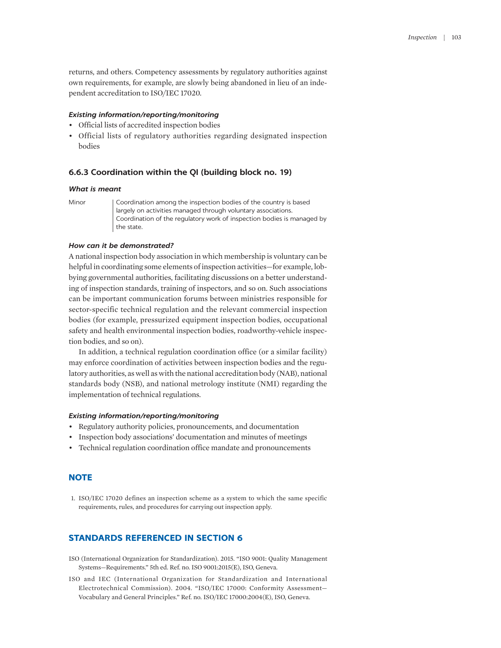returns, and others. Competency assessments by regulatory authorities against own requirements, for example, are slowly being abandoned in lieu of an independent accreditation to ISO/IEC 17020.

#### *Existing information/reporting/monitoring*

- Official lists of accredited inspection bodies
- Official lists of regulatory authorities regarding designated inspection bodies

#### **6.6.3 Coordination within the QI (building block no. 19)**

#### *What is meant*

Minor | Coordination among the inspection bodies of the country is based largely on activities managed through voluntary associations. Coordination of the regulatory work of inspection bodies is managed by the state.

#### *How can it be demonstrated?*

A national inspection body association in which membership is voluntary can be helpful in coordinating some elements of inspection activities—for example, lobbying governmental authorities, facilitating discussions on a better understanding of inspection standards, training of inspectors, and so on. Such associations can be important communication forums between ministries responsible for sector-specific technical regulation and the relevant commercial inspection bodies (for example, pressurized equipment inspection bodies, occupational safety and health environmental inspection bodies, roadworthy-vehicle inspection bodies, and so on).

In addition, a technical regulation coordination office (or a similar facility) may enforce coordination of activities between inspection bodies and the regulatory authorities, as well as with the national accreditation body (NAB), national standards body (NSB), and national metrology institute (NMI) regarding the implementation of technical regulations.

#### *Existing information/reporting/monitoring*

- Regulatory authority policies, pronouncements, and documentation
- Inspection body associations' documentation and minutes of meetings
- Technical regulation coordination office mandate and pronouncements

# **NOTE**

<span id="page-18-0"></span>[1.](#page-6-0) [ISO/IEC 17020](#page-6-0) [defines](#page-6-0) [an](#page-6-0) [inspection scheme](#page-6-0) [as a](#page-6-0) [system](#page-6-0) [to](#page-6-0) [which the same](#page-6-0) [specific](#page-6-0)  [requirements, rules, and procedures for](#page-6-0) [carrying out inspection apply.](#page-6-0)

# **STANDARDS REFERENCED IN SECTION 6**

- ISO (International Organization for Standardization). 2015. "ISO 9001: Quality Management Systems—Requirements." 5th ed. Ref. no. ISO 9001:2015(E), ISO, Geneva.
- ISO and IEC (International Organization for Standardization and International Electrotechnical Commission). 2004. "ISO/IEC 17000: Conformity Assessment— Vocabulary and General Principles." Ref. no. ISO/IEC 17000:2004(E), ISO, Geneva.